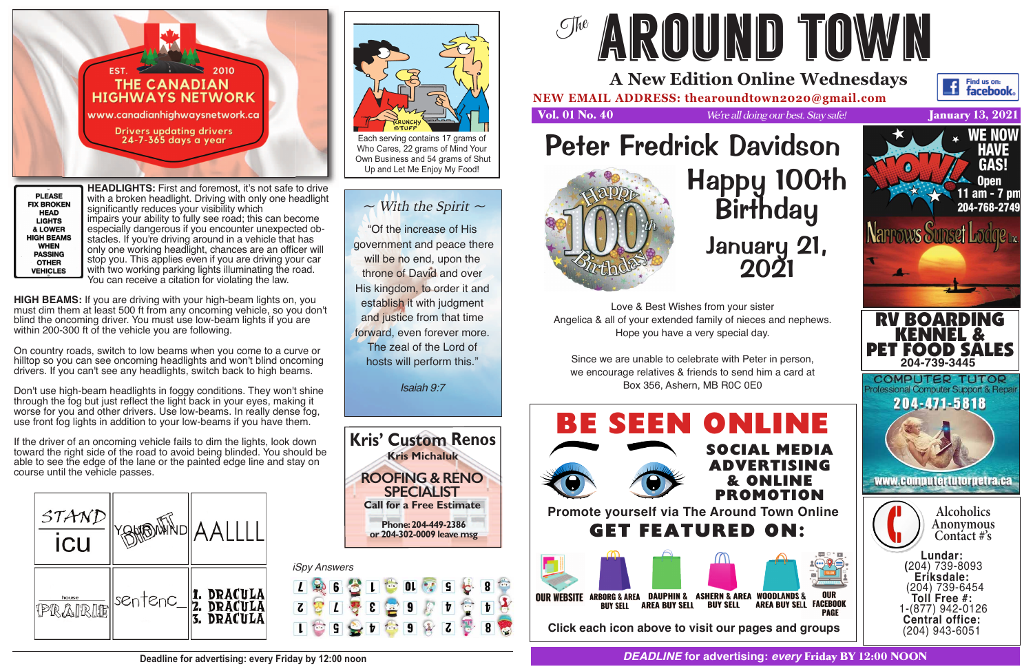

**PLEASE FIX BROKEN HEAD LIGHTS** & LOWER **HIGH BEAMS WHEN PASSING OTHER VEHICLES** 

**HEADLIGHTS:** First and foremost, it's not safe to drive with a broken headlight. Driving with only one headlight significantly reduces your visibility which impairs your ability to fully see road; this can become especially dangerous if you encounter unexpected obstacles. If you're driving around in a vehicle that has only one working headlight, chances are an officer will stop you. This applies even if you are driving your car with two working parking lights illuminating the road. You can receive a citation for violating the law.

**HIGH BEAMS:** If you are driving with your high-beam lights on, you must dim them at least 500 ft from any oncoming vehicle, so you don't blind the oncoming driver. You must use low-beam lights if you are within 200-300 ft of the vehicle you are following.

On country roads, switch to low beams when you come to a curve or hilltop so you can see oncoming headlights and won't blind oncoming drivers. If you can't see any headlights, switch back to high beams.

Don't use high-beam headlights in foggy conditions. They won't shine through the fog but just reflect the light back in your eyes, making it worse for you and other drivers. Use low-beams. In really dense fog, use front fog lights in addition to your low-beams if you have them.

If the driver of an oncoming vehicle fails to dim the lights, look down toward the right side of the road to avoid being blinded. You should be able to see the edge of the lane or the painted edge line and stay on course until the vehicle passes.





Each serving contains 17 grams of Who Cares, 22 grams of Mind Your Own Business and 54 grams of Shut Up and Let Me Enjoy My Food!

## $\sim$  With the Spirit  $\sim$

"Of the increase of His government and peace there will be no end, upon the throne of David and over His kingdom, to order it and establish it with judgment and justice from that time forward, even forever more. The zeal of the Lord of hosts will perform this."

Isaiah 9:7

**Kris' Custom Renos Kris Michaluk**

**Deadline for advertising: every Friday by 12:00 noon**